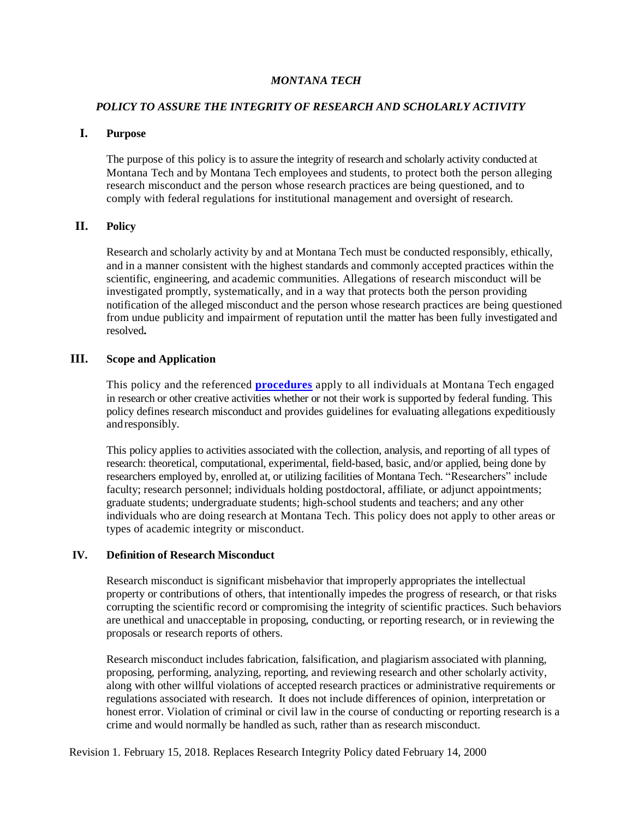### *MONTANA TECH*

### *POLICY TO ASSURE THE INTEGRITY OF RESEARCH AND SCHOLARLY ACTIVITY*

# **I. Purpose**

The purpose of this policy is to assure the integrity of research and scholarly activity conducted at Montana Tech and by Montana Tech employees and students, to protect both the person alleging research misconduct and the person whose research practices are being questioned, and to comply with federal regulations for institutional management and oversight of research.

# **II. Policy**

Research and scholarly activity by and at Montana Tech must be conducted responsibly, ethically, and in a manner consistent with the highest standards and commonly accepted practices within the scientific, engineering, and academic communities. Allegations of research misconduct will be investigated promptly, systematically, and in a way that protects both the person providing notification of the alleged misconduct and the person whose research practices are being questioned from undue publicity and impairment of reputation until the matter has been fully investigated and resolved**.**

# **III. Scope and Application**

This policy and the referenced **[procedures](https://www.mtech.edu/research/files/research-procedures-supporting-policy.pdf)** apply to all individuals at Montana Tech engaged in research or other creative activities whether or not their work is supported by federal funding. This policy defines research misconduct and provides guidelines for evaluating allegations expeditiously andresponsibly.

This policy applies to activities associated with the collection, analysis, and reporting of all types of research: theoretical, computational, experimental, field-based, basic, and/or applied, being done by researchers employed by, enrolled at, or utilizing facilities of Montana Tech. "Researchers" include faculty; research personnel; individuals holding postdoctoral, affiliate, or adjunct appointments; graduate students; undergraduate students; high-school students and teachers; and any other individuals who are doing research at Montana Tech. This policy does not apply to other areas or types of academic integrity or misconduct.

# **IV. Definition of Research Misconduct**

Research misconduct is significant misbehavior that improperly appropriates the intellectual property or contributions of others, that intentionally impedes the progress of research, or that risks corrupting the scientific record or compromising the integrity of scientific practices. Such behaviors are unethical and unacceptable in proposing, conducting, or reporting research, or in reviewing the proposals or research reports of others.

Research misconduct includes fabrication, falsification, and plagiarism associated with planning, proposing, performing, analyzing, reporting, and reviewing research and other scholarly activity, along with other willful violations of accepted research practices or administrative requirements or regulations associated with research. It does not include differences of opinion, interpretation or honest error. Violation of criminal or civil law in the course of conducting or reporting research is a crime and would normally be handled as such, rather than as research misconduct.

Revision 1. February 15, 2018. Replaces Research Integrity Policy dated February 14, 2000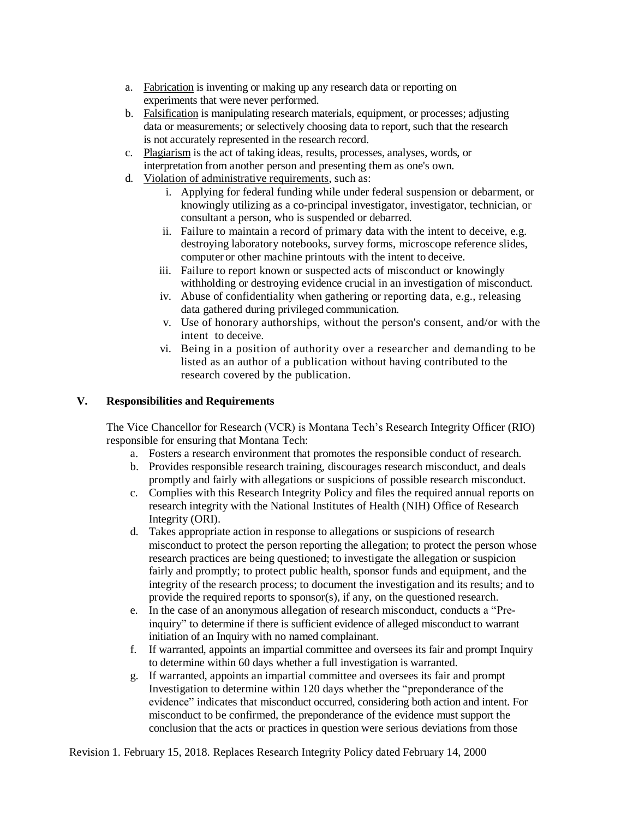- a. Fabrication is inventing or making up any research data or reporting on experiments that were never performed.
- b. Falsification is manipulating research materials, equipment, or processes; adjusting data or measurements; or selectively choosing data to report, such that the research is not accurately represented in the research record.
- c. Plagiarism is the act of taking ideas, results, processes, analyses, words, or interpretation from another person and presenting them as one's own.
- d. Violation of administrative requirements, such as:
	- i. Applying for federal funding while under federal suspension or debarment, or knowingly utilizing as a co-principal investigator, investigator, technician, or consultant a person, who is suspended or debarred.
	- ii. Failure to maintain a record of primary data with the intent to deceive, e.g. destroying laboratory notebooks, survey forms, microscope reference slides, computer or other machine printouts with the intent to deceive.
	- iii. Failure to report known or suspected acts of misconduct or knowingly withholding or destroying evidence crucial in an investigation of misconduct.
	- iv. Abuse of confidentiality when gathering or reporting data, e.g., releasing data gathered during privileged communication.
	- v. Use of honorary authorships, without the person's consent, and/or with the intent to deceive.
	- vi. Being in a position of authority over a researcher and demanding to be listed as an author of a publication without having contributed to the research covered by the publication.

# **V. Responsibilities and Requirements**

The Vice Chancellor for Research (VCR) is Montana Tech's Research Integrity Officer (RIO) responsible for ensuring that Montana Tech:

- a. Fosters a research environment that promotes the responsible conduct of research.
- b. Provides responsible research training, discourages research misconduct, and deals promptly and fairly with allegations or suspicions of possible research misconduct.
- c. Complies with this Research Integrity Policy and files the required annual reports on research integrity with the National Institutes of Health (NIH) Office of Research Integrity (ORI).
- d. Takes appropriate action in response to allegations or suspicions of research misconduct to protect the person reporting the allegation; to protect the person whose research practices are being questioned; to investigate the allegation or suspicion fairly and promptly; to protect public health, sponsor funds and equipment, and the integrity of the research process; to document the investigation and its results; and to provide the required reports to sponsor(s), if any, on the questioned research.
- e. In the case of an anonymous allegation of research misconduct, conducts a "Preinquiry" to determine if there is sufficient evidence of alleged misconduct to warrant initiation of an Inquiry with no named complainant.
- f. If warranted, appoints an impartial committee and oversees its fair and prompt Inquiry to determine within 60 days whether a full investigation is warranted.
- g. If warranted, appoints an impartial committee and oversees its fair and prompt Investigation to determine within 120 days whether the "preponderance of the evidence" indicates that misconduct occurred, considering both action and intent. For misconduct to be confirmed, the preponderance of the evidence must support the conclusion that the acts or practices in question were serious deviations from those

Revision 1. February 15, 2018. Replaces Research Integrity Policy dated February 14, 2000